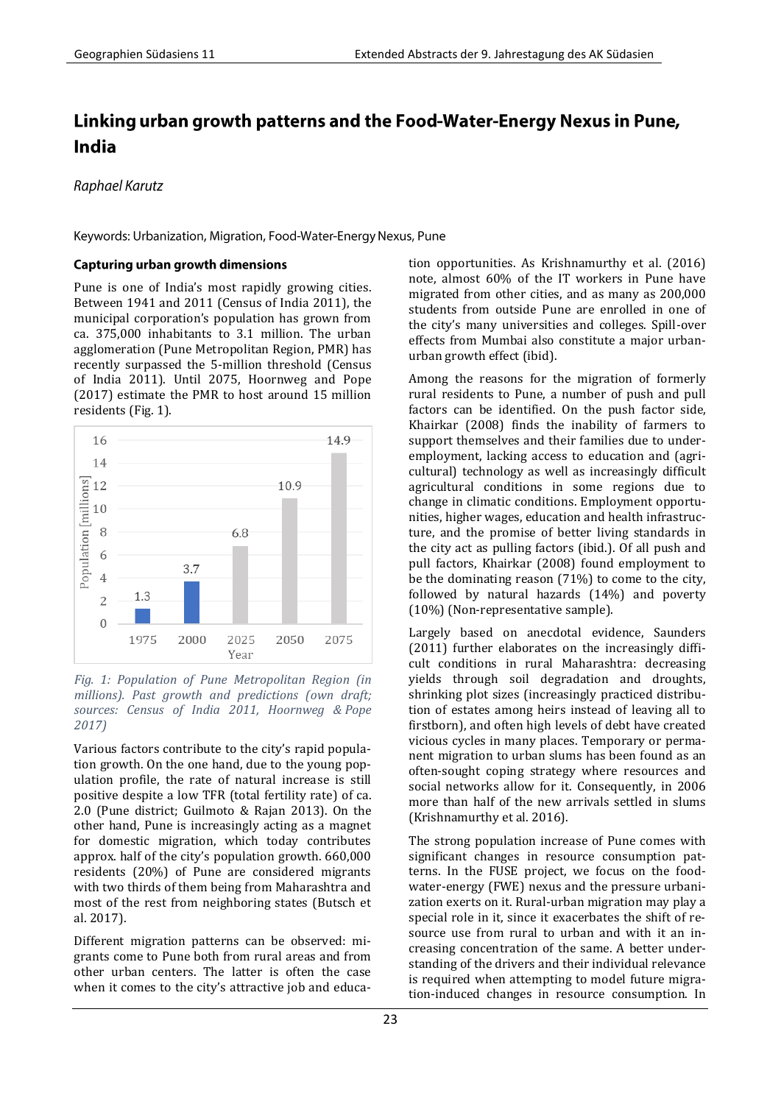# Linking urban growth patterns and the Food-Water-Energy Nexus in Pune, **India**

Raphael Karutz

Keywords: Urbanization, Migration, Food-Water-Energy Nexus, Pune

### **Capturing urban growth dimensions**

Pune is one of India's most rapidly growing cities. Between 1941 and 2011 (Census of India 2011), the municipal corporation's population has grown from ca. 375,000 inhabitants to 3.1 million. The urban agglomeration (Pune Metropolitan Region, PMR) has recently surpassed the 5-million threshold (Census of India 2011). Until 2075, Hoornweg and Pope (2017) estimate the PMR to host around 15 million residents (Fig. 1).



#### *Fig. 1: Population of Pune Metropolitan Region (in millions). Past growth and predictions (own draft; sources: Census of India 2011, Hoornweg & Pope 2017)*

Various factors contribute to the city's rapid population growth. On the one hand, due to the young population profile, the rate of natural increase is still positive despite a low TFR (total fertility rate) of ca. 2.0 (Pune district; Guilmoto & Rajan 2013). On the other hand, Pune is increasingly acting as a magnet for domestic migration, which today contributes approx. half of the city's population growth. 660,000 residents (20%) of Pune are considered migrants with two thirds of them being from Maharashtra and most of the rest from neighboring states (Butsch et al. 2017).

Different migration patterns can be observed: migrants come to Pune both from rural areas and from other urban centers. The latter is often the case when it comes to the city's attractive job and education opportunities. As Krishnamurthy et al. (2016) note, almost 60% of the IT workers in Pune have migrated from other cities, and as many as 200,000 students from outside Pune are enrolled in one of the city's many universities and colleges. Spill-over effects from Mumbai also constitute a major urbanurban growth effect (ibid).

Among the reasons for the migration of formerly rural residents to Pune, a number of push and pull factors can be identified. On the push factor side, Khairkar (2008) finds the inability of farmers to support themselves and their families due to underemployment, lacking access to education and (agricultural) technology as well as increasingly difficult agricultural conditions in some regions due to change in climatic conditions. Employment opportunities, higher wages, education and health infrastructure, and the promise of better living standards in the city act as pulling factors (ibid.). Of all push and pull factors, Khairkar (2008) found employment to be the dominating reason (71%) to come to the city, followed by natural hazards (14%) and poverty (10%) (Non-representative sample).

Largely based on anecdotal evidence, Saunders (2011) further elaborates on the increasingly difficult conditions in rural Maharashtra: decreasing yields through soil degradation and droughts, shrinking plot sizes (increasingly practiced distribution of estates among heirs instead of leaving all to firstborn), and often high levels of debt have created vicious cycles in many places. Temporary or permanent migration to urban slums has been found as an often-sought coping strategy where resources and social networks allow for it. Consequently, in 2006 more than half of the new arrivals settled in slums (Krishnamurthy et al. 2016).

The strong population increase of Pune comes with significant changes in resource consumption patterns. In the FUSE project, we focus on the foodwater-energy (FWE) nexus and the pressure urbanization exerts on it. Rural-urban migration may play a special role in it, since it exacerbates the shift of resource use from rural to urban and with it an increasing concentration of the same. A better understanding of the drivers and their individual relevance is required when attempting to model future migration-induced changes in resource consumption. In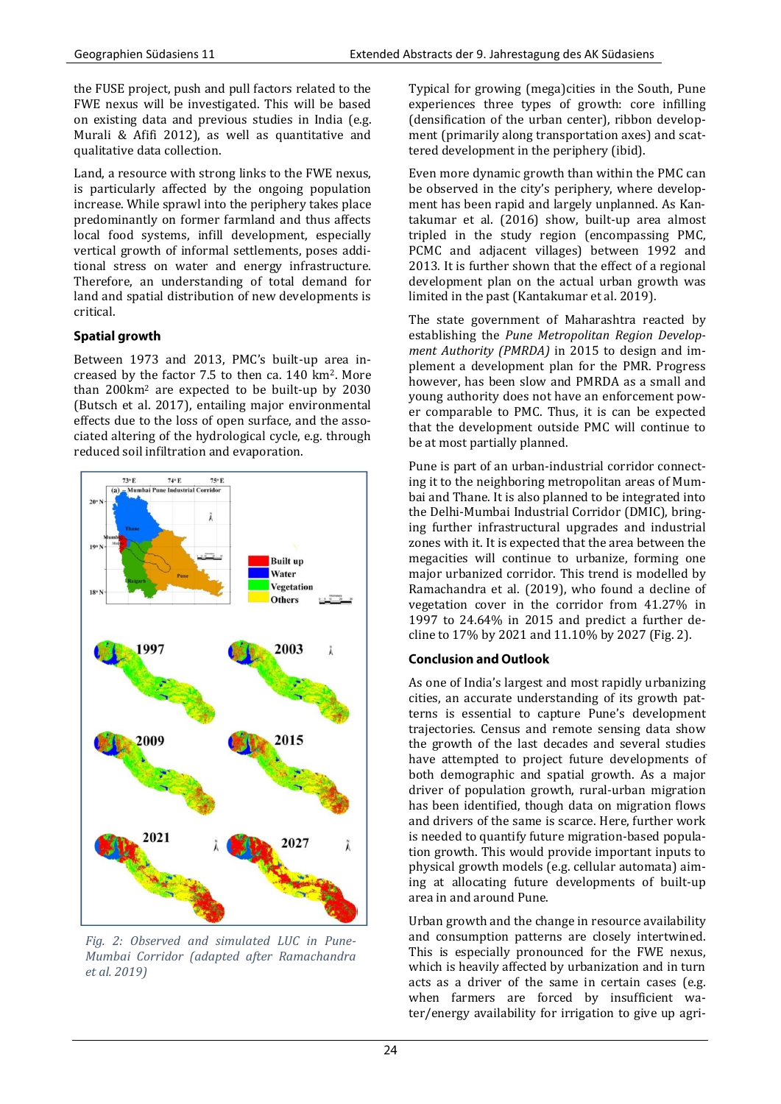the FUSE project, push and pull factors related to the FWE nexus will be investigated. This will be based on existing data and previous studies in India (e.g. Murali & Afifi 2012), as well as quantitative and qualitative data collection.

Land, a resource with strong links to the FWE nexus, is particularly affected by the ongoing population increase. While sprawl into the periphery takes place predominantly on former farmland and thus affects local food systems, infill development, especially vertical growth of informal settlements, poses additional stress on water and energy infrastructure. Therefore, an understanding of total demand for land and spatial distribution of new developments is critical.

# **Spatial growth**

Between 1973 and 2013, PMC's built-up area increased by the factor 7.5 to then ca. 140 km2. More than 200km<sup>2</sup> are expected to be built-up by 2030 (Butsch et al. 2017), entailing major environmental effects due to the loss of open surface, and the associated altering of the hydrological cycle, e.g. through reduced soil infiltration and evaporation.



*Fig. 2: Observed and simulated LUC in Pune-Mumbai Corridor (adapted after Ramachandra et al. 2019)*

Typical for growing (mega)cities in the South, Pune experiences three types of growth: core infilling (densification of the urban center), ribbon development (primarily along transportation axes) and scattered development in the periphery (ibid).

Even more dynamic growth than within the PMC can be observed in the city's periphery, where development has been rapid and largely unplanned. As Kantakumar et al. (2016) show, built-up area almost tripled in the study region (encompassing PMC, PCMC and adjacent villages) between 1992 and 2013. It is further shown that the effect of a regional development plan on the actual urban growth was limited in the past (Kantakumar et al. 2019).

The state government of Maharashtra reacted by establishing the *Pune Metropolitan Region Development Authority (PMRDA)* in 2015 to design and implement a development plan for the PMR. Progress however, has been slow and PMRDA as a small and young authority does not have an enforcement power comparable to PMC. Thus, it is can be expected that the development outside PMC will continue to be at most partially planned.

Pune is part of an urban-industrial corridor connecting it to the neighboring metropolitan areas of Mumbai and Thane. It is also planned to be integrated into the Delhi-Mumbai Industrial Corridor (DMIC), bringing further infrastructural upgrades and industrial zones with it. It is expected that the area between the megacities will continue to urbanize, forming one major urbanized corridor. This trend is modelled by Ramachandra et al. (2019), who found a decline of vegetation cover in the corridor from 41.27% in 1997 to 24.64% in 2015 and predict a further decline to 17% by 2021 and 11.10% by 2027 (Fig. 2).

# **Conclusion and Outlook**

As one of India's largest and most rapidly urbanizing cities, an accurate understanding of its growth patterns is essential to capture Pune's development trajectories. Census and remote sensing data show the growth of the last decades and several studies have attempted to project future developments of both demographic and spatial growth. As a major driver of population growth, rural-urban migration has been identified, though data on migration flows and drivers of the same is scarce. Here, further work is needed to quantify future migration-based population growth. This would provide important inputs to physical growth models (e.g. cellular automata) aiming at allocating future developments of built-up area in and around Pune.

Urban growth and the change in resource availability and consumption patterns are closely intertwined. This is especially pronounced for the FWE nexus, which is heavily affected by urbanization and in turn acts as a driver of the same in certain cases (e.g. when farmers are forced by insufficient water/energy availability for irrigation to give up agri-